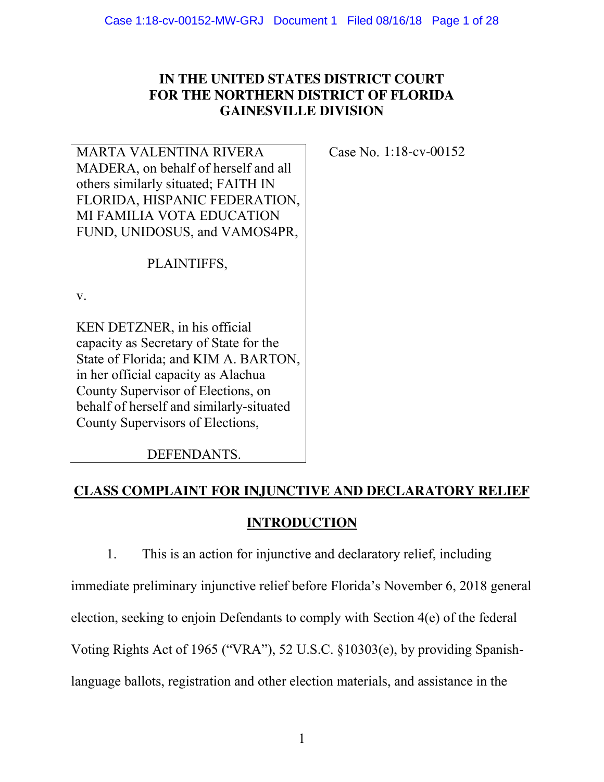# **IN THE UNITED STATES DISTRICT COURT FOR THE NORTHERN DISTRICT OF FLORIDA GAINESVILLE DIVISION**

MARTA VALENTINA RIVERA MADERA, on behalf of herself and all others similarly situated; FAITH IN FLORIDA, HISPANIC FEDERATION, MI FAMILIA VOTA EDUCATION FUND, UNIDOSUS, and VAMOS4PR,

PLAINTIFFS,

v.

KEN DETZNER, in his official capacity as Secretary of State for the State of Florida; and KIM A. BARTON, in her official capacity as Alachua County Supervisor of Elections, on behalf of herself and similarly-situated County Supervisors of Elections,

DEFENDANTS.

# **CLASS COMPLAINT FOR INJUNCTIVE AND DECLARATORY RELIEF**

# **INTRODUCTION**

1. This is an action for injunctive and declaratory relief, including

immediate preliminary injunctive relief before Florida's November 6, 2018 general election, seeking to enjoin Defendants to comply with Section 4(e) of the federal Voting Rights Act of 1965 ("VRA"), 52 U.S.C. §10303(e), by providing Spanishlanguage ballots, registration and other election materials, and assistance in the

Case No. 1:18-cv-00152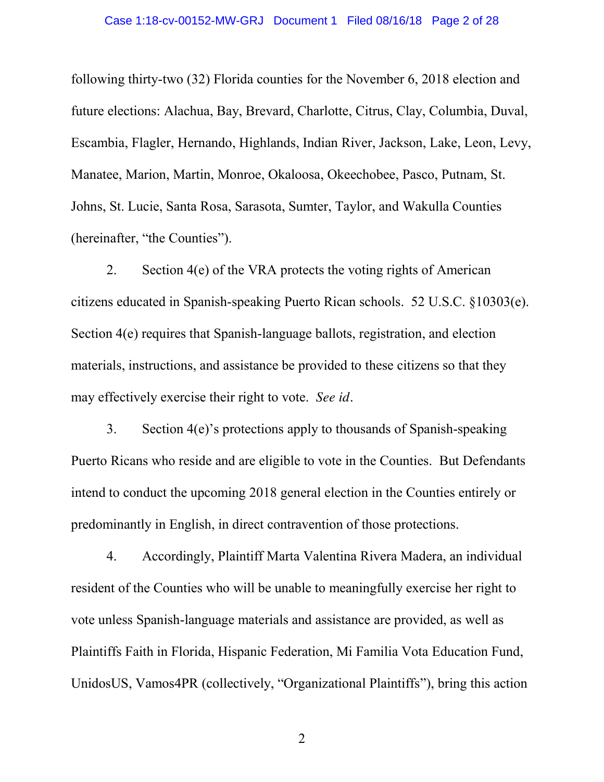following thirty-two (32) Florida counties for the November 6, 2018 election and future elections: Alachua, Bay, Brevard, Charlotte, Citrus, Clay, Columbia, Duval, Escambia, Flagler, Hernando, Highlands, Indian River, Jackson, Lake, Leon, Levy, Manatee, Marion, Martin, Monroe, Okaloosa, Okeechobee, Pasco, Putnam, St. Johns, St. Lucie, Santa Rosa, Sarasota, Sumter, Taylor, and Wakulla Counties (hereinafter, "the Counties").

2. Section 4(e) of the VRA protects the voting rights of American citizens educated in Spanish-speaking Puerto Rican schools. 52 U.S.C. §10303(e). Section 4(e) requires that Spanish-language ballots, registration, and election materials, instructions, and assistance be provided to these citizens so that they may effectively exercise their right to vote. *See id.*

3. Section 4(e)'s protections apply to thousands of Spanish-speaking Puerto Ricans who reside and are eligible to vote in the Counties. But Defendants intend to conduct the upcoming 2018 general election in the Counties entirely or predominantly in English, in direct contravention of those protections.

4. Accordingly, Plaintiff Marta Valentina Rivera Madera, an individual resident of the Counties who will be unable to meaningfully exercise her right to vote unless Spanish-language materials and assistance are provided, as well as Plaintiffs Faith in Florida, Hispanic Federation, Mi Familia Vota Education Fund, UnidosUS, Vamos4PR (collectively, "Organizational Plaintiffs"), bring this action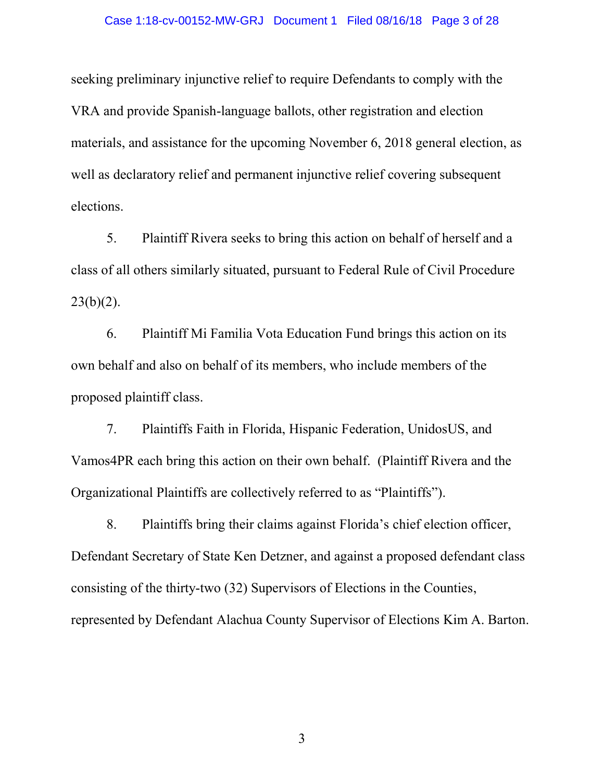seeking preliminary injunctive relief to require Defendants to comply with the VRA and provide Spanish-language ballots, other registration and election materials, and assistance for the upcoming November 6, 2018 general election, as well as declaratory relief and permanent injunctive relief covering subsequent elections.

5. Plaintiff Rivera seeks to bring this action on behalf of herself and a class of all others similarly situated, pursuant to Federal Rule of Civil Procedure  $23(b)(2)$ .

6. Plaintiff Mi Familia Vota Education Fund brings this action on its own behalf and also on behalf of its members, who include members of the proposed plaintiff class.

7. Plaintiffs Faith in Florida, Hispanic Federation, UnidosUS, and Vamos4PR each bring this action on their own behalf. (Plaintiff Rivera and the Organizational Plaintiffs are collectively referred to as "Plaintiffs").

8. Plaintiffs bring their claims against Florida's chief election officer, Defendant Secretary of State Ken Detzner, and against a proposed defendant class consisting of the thirty-two (32) Supervisors of Elections in the Counties, represented by Defendant Alachua County Supervisor of Elections Kim A. Barton.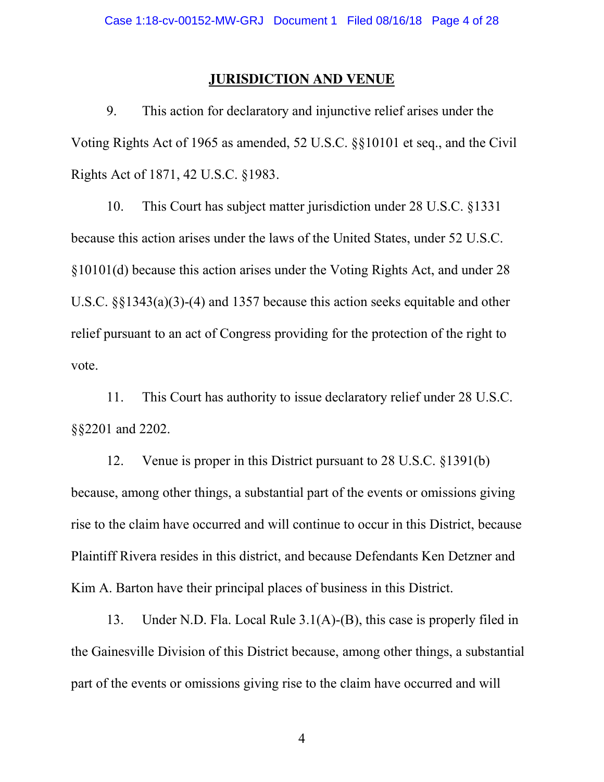## **JURISDICTION AND VENUE**

9. This action for declaratory and injunctive relief arises under the Voting Rights Act of 1965 as amended, 52 U.S.C. §§10101 et seq., and the Civil Rights Act of 1871, 42 U.S.C. §1983.

10. This Court has subject matter jurisdiction under 28 U.S.C. §1331 because this action arises under the laws of the United States, under 52 U.S.C. §10101(d) because this action arises under the Voting Rights Act, and under 28 U.S.C. §§1343(a)(3)-(4) and 1357 because this action seeks equitable and other relief pursuant to an act of Congress providing for the protection of the right to vote.

11. This Court has authority to issue declaratory relief under 28 U.S.C. §§2201 and 2202.

12. Venue is proper in this District pursuant to 28 U.S.C. §1391(b) because, among other things, a substantial part of the events or omissions giving rise to the claim have occurred and will continue to occur in this District, because Plaintiff Rivera resides in this district, and because Defendants Ken Detzner and Kim A. Barton have their principal places of business in this District.

13. Under N.D. Fla. Local Rule 3.1(A)-(B), this case is properly filed in the Gainesville Division of this District because, among other things, a substantial part of the events or omissions giving rise to the claim have occurred and will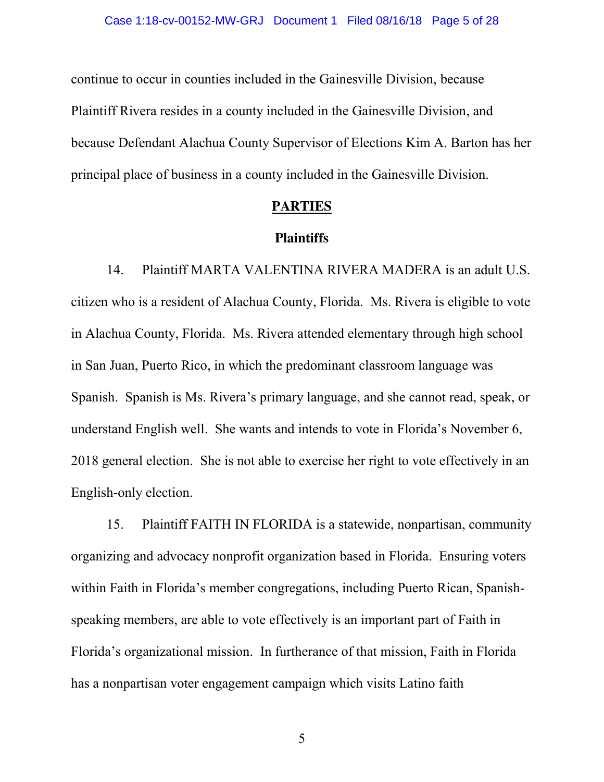continue to occur in counties included in the Gainesville Division, because Plaintiff Rivera resides in a county included in the Gainesville Division, and because Defendant Alachua County Supervisor of Elections Kim A. Barton has her principal place of business in a county included in the Gainesville Division.

## **PARTIES**

## **Plaintiffs**

14. Plaintiff MARTA VALENTINA RIVERA MADERA is an adult U.S. citizen who is a resident of Alachua County, Florida. Ms. Rivera is eligible to vote in Alachua County, Florida. Ms. Rivera attended elementary through high school in San Juan, Puerto Rico, in which the predominant classroom language was Spanish. Spanish is Ms. Rivera's primary language, and she cannot read, speak, or understand English well. She wants and intends to vote in Florida's November 6, 2018 general election. She is not able to exercise her right to vote effectively in an English-only election.

15. Plaintiff FAITH IN FLORIDA is a statewide, nonpartisan, community organizing and advocacy nonprofit organization based in Florida. Ensuring voters within Faith in Florida's member congregations, including Puerto Rican, Spanishspeaking members, are able to vote effectively is an important part of Faith in Florida's organizational mission. In furtherance of that mission, Faith in Florida has a nonpartisan voter engagement campaign which visits Latino faith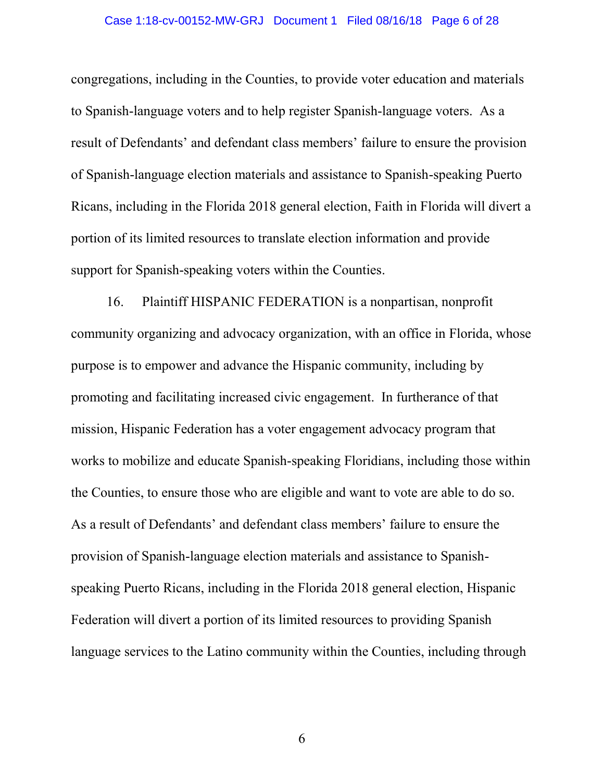## Case 1:18-cv-00152-MW-GRJ Document 1 Filed 08/16/18 Page 6 of 28

congregations, including in the Counties, to provide voter education and materials to Spanish-language voters and to help register Spanish-language voters. As a result of Defendants' and defendant class members' failure to ensure the provision of Spanish-language election materials and assistance to Spanish-speaking Puerto Ricans, including in the Florida 2018 general election, Faith in Florida will divert a portion of its limited resources to translate election information and provide support for Spanish-speaking voters within the Counties.

16. Plaintiff HISPANIC FEDERATION is a nonpartisan, nonprofit community organizing and advocacy organization, with an office in Florida, whose purpose is to empower and advance the Hispanic community, including by promoting and facilitating increased civic engagement. In furtherance of that mission, Hispanic Federation has a voter engagement advocacy program that works to mobilize and educate Spanish-speaking Floridians, including those within the Counties, to ensure those who are eligible and want to vote are able to do so. As a result of Defendants' and defendant class members' failure to ensure the provision of Spanish-language election materials and assistance to Spanishspeaking Puerto Ricans, including in the Florida 2018 general election, Hispanic Federation will divert a portion of its limited resources to providing Spanish language services to the Latino community within the Counties, including through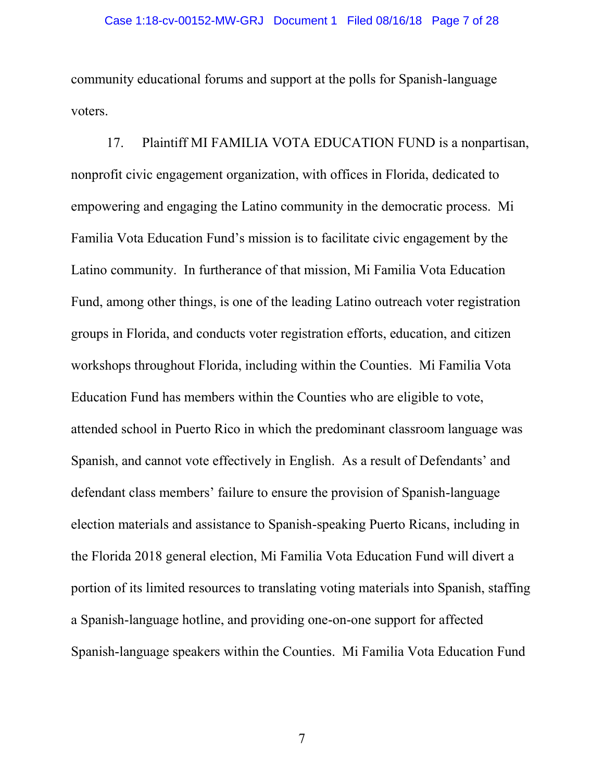community educational forums and support at the polls for Spanish-language voters.

17. Plaintiff MI FAMILIA VOTA EDUCATION FUND is a nonpartisan, nonprofit civic engagement organization, with offices in Florida, dedicated to empowering and engaging the Latino community in the democratic process. Mi Familia Vota Education Fund's mission is to facilitate civic engagement by the Latino community. In furtherance of that mission, Mi Familia Vota Education Fund, among other things, is one of the leading Latino outreach voter registration groups in Florida, and conducts voter registration efforts, education, and citizen workshops throughout Florida, including within the Counties. Mi Familia Vota Education Fund has members within the Counties who are eligible to vote, attended school in Puerto Rico in which the predominant classroom language was Spanish, and cannot vote effectively in English. As a result of Defendants' and defendant class members' failure to ensure the provision of Spanish-language election materials and assistance to Spanish-speaking Puerto Ricans, including in the Florida 2018 general election, Mi Familia Vota Education Fund will divert a portion of its limited resources to translating voting materials into Spanish, staffing a Spanish-language hotline, and providing one-on-one support for affected Spanish-language speakers within the Counties. Mi Familia Vota Education Fund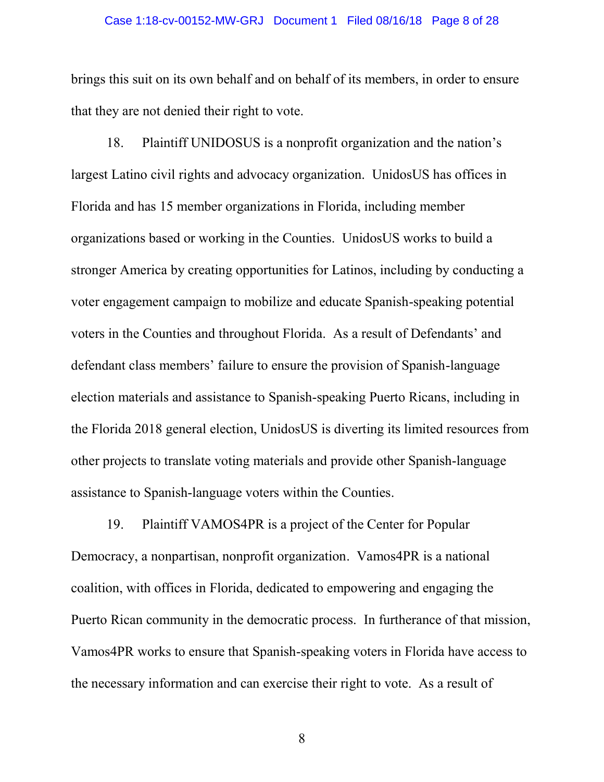# Case 1:18-cv-00152-MW-GRJ Document 1 Filed 08/16/18 Page 8 of 28

brings this suit on its own behalf and on behalf of its members, in order to ensure that they are not denied their right to vote.

18. Plaintiff UNIDOSUS is a nonprofit organization and the nation's largest Latino civil rights and advocacy organization. UnidosUS has offices in Florida and has 15 member organizations in Florida, including member organizations based or working in the Counties. UnidosUS works to build a stronger America by creating opportunities for Latinos, including by conducting a voter engagement campaign to mobilize and educate Spanish-speaking potential voters in the Counties and throughout Florida. As a result of Defendants' and defendant class members' failure to ensure the provision of Spanish-language election materials and assistance to Spanish-speaking Puerto Ricans, including in the Florida 2018 general election, UnidosUS is diverting its limited resources from other projects to translate voting materials and provide other Spanish-language assistance to Spanish-language voters within the Counties.

19. Plaintiff VAMOS4PR is a project of the Center for Popular Democracy, a nonpartisan, nonprofit organization. Vamos4PR is a national coalition, with offices in Florida, dedicated to empowering and engaging the Puerto Rican community in the democratic process. In furtherance of that mission, Vamos4PR works to ensure that Spanish-speaking voters in Florida have access to the necessary information and can exercise their right to vote. As a result of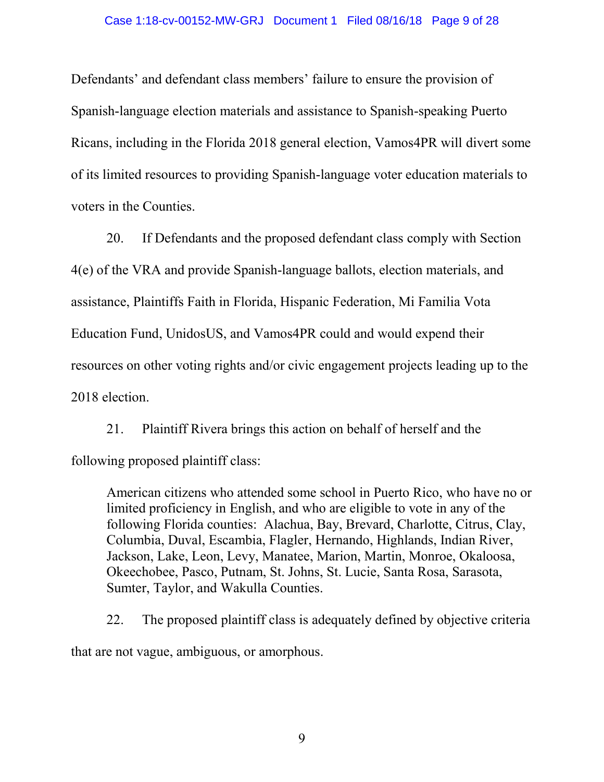Defendants' and defendant class members' failure to ensure the provision of Spanish-language election materials and assistance to Spanish-speaking Puerto Ricans, including in the Florida 2018 general election, Vamos4PR will divert some of its limited resources to providing Spanish-language voter education materials to voters in the Counties.

20. If Defendants and the proposed defendant class comply with Section 4(e) of the VRA and provide Spanish-language ballots, election materials, and assistance, Plaintiffs Faith in Florida, Hispanic Federation, Mi Familia Vota Education Fund, UnidosUS, and Vamos4PR could and would expend their resources on other voting rights and/or civic engagement projects leading up to the 2018 election.

21. Plaintiff Rivera brings this action on behalf of herself and the following proposed plaintiff class:

American citizens who attended some school in Puerto Rico, who have no or limited proficiency in English, and who are eligible to vote in any of the following Florida counties: Alachua, Bay, Brevard, Charlotte, Citrus, Clay, Columbia, Duval, Escambia, Flagler, Hernando, Highlands, Indian River, Jackson, Lake, Leon, Levy, Manatee, Marion, Martin, Monroe, Okaloosa, Okeechobee, Pasco, Putnam, St. Johns, St. Lucie, Santa Rosa, Sarasota, Sumter, Taylor, and Wakulla Counties.

22. The proposed plaintiff class is adequately defined by objective criteria that are not vague, ambiguous, or amorphous.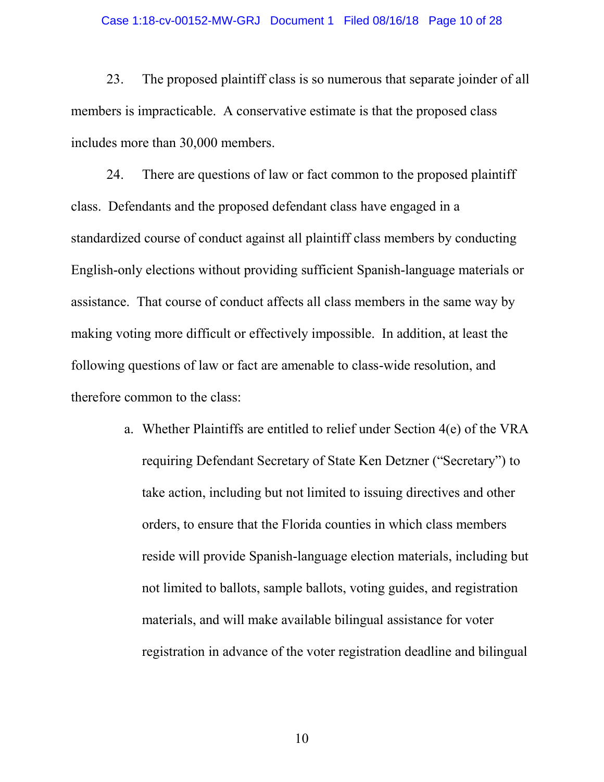#### Case 1:18-cv-00152-MW-GRJ Document 1 Filed 08/16/18 Page 10 of 28

23. The proposed plaintiff class is so numerous that separate joinder of all members is impracticable. A conservative estimate is that the proposed class includes more than 30,000 members.

24. There are questions of law or fact common to the proposed plaintiff class. Defendants and the proposed defendant class have engaged in a standardized course of conduct against all plaintiff class members by conducting English-only elections without providing sufficient Spanish-language materials or assistance. That course of conduct affects all class members in the same way by making voting more difficult or effectively impossible. In addition, at least the following questions of law or fact are amenable to class-wide resolution, and therefore common to the class:

> a. Whether Plaintiffs are entitled to relief under Section 4(e) of the VRA requiring Defendant Secretary of State Ken Detzner ("Secretary") to take action, including but not limited to issuing directives and other orders, to ensure that the Florida counties in which class members reside will provide Spanish-language election materials, including but not limited to ballots, sample ballots, voting guides, and registration materials, and will make available bilingual assistance for voter registration in advance of the voter registration deadline and bilingual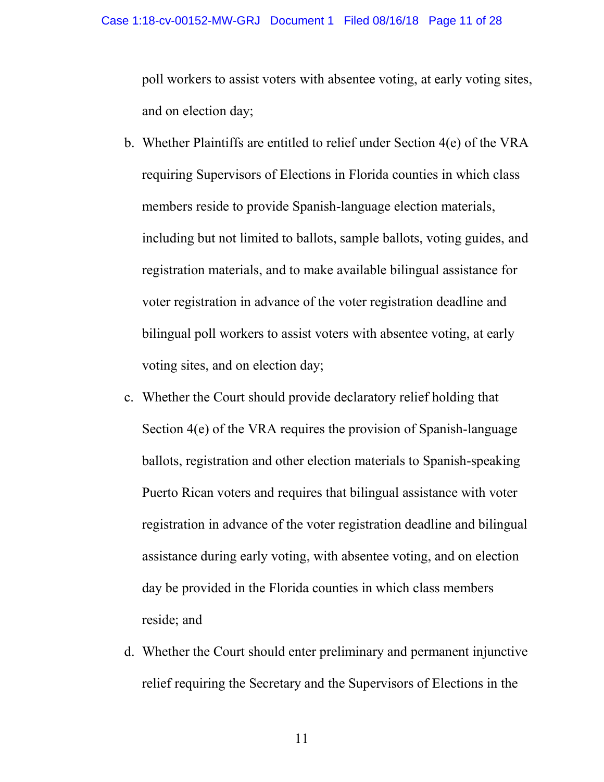poll workers to assist voters with absentee voting, at early voting sites, and on election day;

- b. Whether Plaintiffs are entitled to relief under Section 4(e) of the VRA requiring Supervisors of Elections in Florida counties in which class members reside to provide Spanish-language election materials, including but not limited to ballots, sample ballots, voting guides, and registration materials, and to make available bilingual assistance for voter registration in advance of the voter registration deadline and bilingual poll workers to assist voters with absentee voting, at early voting sites, and on election day;
- c. Whether the Court should provide declaratory relief holding that Section 4(e) of the VRA requires the provision of Spanish-language ballots, registration and other election materials to Spanish-speaking Puerto Rican voters and requires that bilingual assistance with voter registration in advance of the voter registration deadline and bilingual assistance during early voting, with absentee voting, and on election day be provided in the Florida counties in which class members reside; and
- d. Whether the Court should enter preliminary and permanent injunctive relief requiring the Secretary and the Supervisors of Elections in the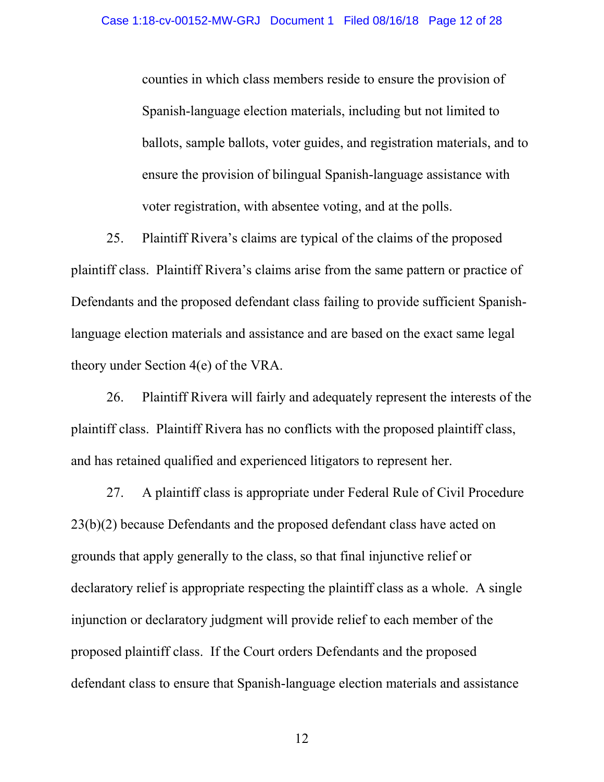counties in which class members reside to ensure the provision of Spanish-language election materials, including but not limited to ballots, sample ballots, voter guides, and registration materials, and to ensure the provision of bilingual Spanish-language assistance with voter registration, with absentee voting, and at the polls.

25. Plaintiff Rivera's claims are typical of the claims of the proposed plaintiff class. Plaintiff Rivera's claims arise from the same pattern or practice of Defendants and the proposed defendant class failing to provide sufficient Spanishlanguage election materials and assistance and are based on the exact same legal theory under Section 4(e) of the VRA.

26. Plaintiff Rivera will fairly and adequately represent the interests of the plaintiff class. Plaintiff Rivera has no conflicts with the proposed plaintiff class, and has retained qualified and experienced litigators to represent her.

27. A plaintiff class is appropriate under Federal Rule of Civil Procedure 23(b)(2) because Defendants and the proposed defendant class have acted on grounds that apply generally to the class, so that final injunctive relief or declaratory relief is appropriate respecting the plaintiff class as a whole. A single injunction or declaratory judgment will provide relief to each member of the proposed plaintiff class. If the Court orders Defendants and the proposed defendant class to ensure that Spanish-language election materials and assistance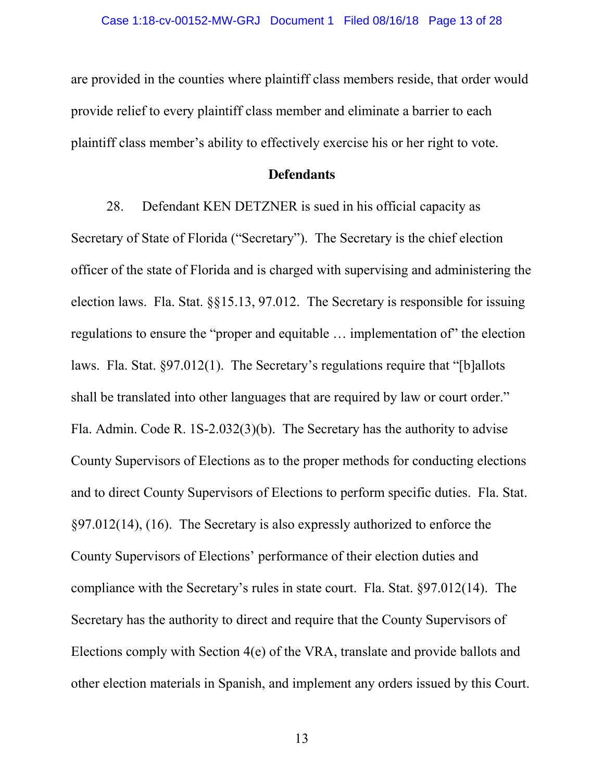are provided in the counties where plaintiff class members reside, that order would provide relief to every plaintiff class member and eliminate a barrier to each plaintiff class member's ability to effectively exercise his or her right to vote.

## **Defendants**

28. Defendant KEN DETZNER is sued in his official capacity as Secretary of State of Florida ("Secretary"). The Secretary is the chief election officer of the state of Florida and is charged with supervising and administering the election laws. Fla. Stat. §§15.13, 97.012. The Secretary is responsible for issuing regulations to ensure the "proper and equitable … implementation of" the election laws. Fla. Stat. §97.012(1). The Secretary's regulations require that "[b]allots shall be translated into other languages that are required by law or court order." Fla. Admin. Code R. 1S-2.032(3)(b). The Secretary has the authority to advise County Supervisors of Elections as to the proper methods for conducting elections and to direct County Supervisors of Elections to perform specific duties. Fla. Stat. §97.012(14), (16). The Secretary is also expressly authorized to enforce the County Supervisors of Elections' performance of their election duties and compliance with the Secretary's rules in state court. Fla. Stat. §97.012(14). The Secretary has the authority to direct and require that the County Supervisors of Elections comply with Section 4(e) of the VRA, translate and provide ballots and other election materials in Spanish, and implement any orders issued by this Court.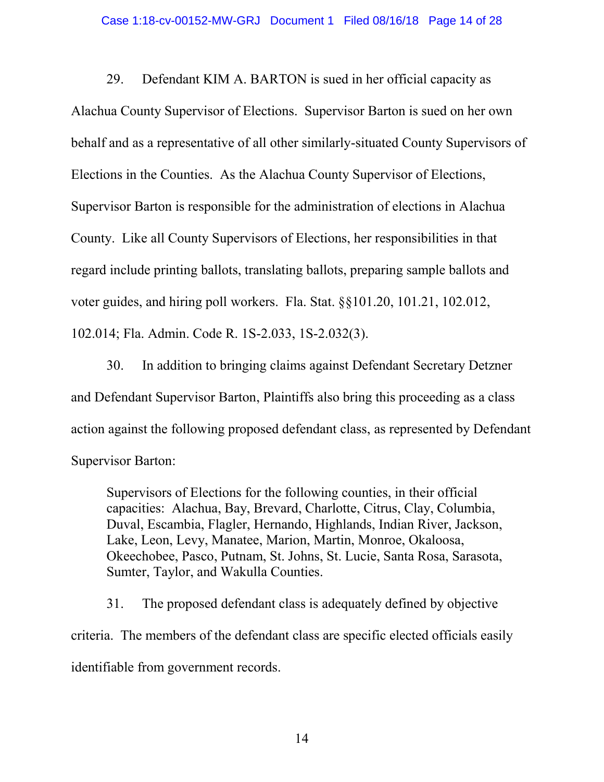29. Defendant KIM A. BARTON is sued in her official capacity as Alachua County Supervisor of Elections. Supervisor Barton is sued on her own behalf and as a representative of all other similarly-situated County Supervisors of Elections in the Counties. As the Alachua County Supervisor of Elections, Supervisor Barton is responsible for the administration of elections in Alachua County. Like all County Supervisors of Elections, her responsibilities in that regard include printing ballots, translating ballots, preparing sample ballots and voter guides, and hiring poll workers. Fla. Stat. §§101.20, 101.21, 102.012, 102.014; Fla. Admin. Code R. 1S-2.033, 1S-2.032(3).

30. In addition to bringing claims against Defendant Secretary Detzner and Defendant Supervisor Barton, Plaintiffs also bring this proceeding as a class action against the following proposed defendant class, as represented by Defendant Supervisor Barton:

Supervisors of Elections for the following counties, in their official capacities: Alachua, Bay, Brevard, Charlotte, Citrus, Clay, Columbia, Duval, Escambia, Flagler, Hernando, Highlands, Indian River, Jackson, Lake, Leon, Levy, Manatee, Marion, Martin, Monroe, Okaloosa, Okeechobee, Pasco, Putnam, St. Johns, St. Lucie, Santa Rosa, Sarasota, Sumter, Taylor, and Wakulla Counties.

31. The proposed defendant class is adequately defined by objective criteria. The members of the defendant class are specific elected officials easily identifiable from government records.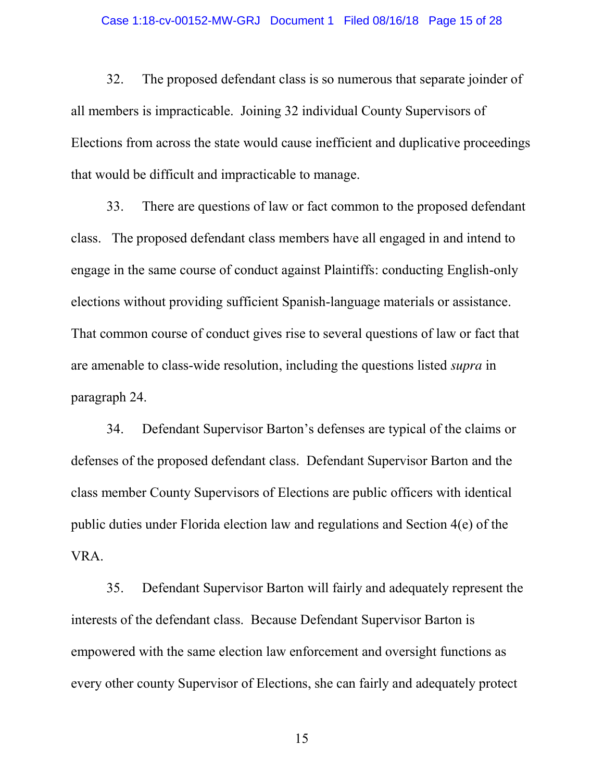#### Case 1:18-cv-00152-MW-GRJ Document 1 Filed 08/16/18 Page 15 of 28

32. The proposed defendant class is so numerous that separate joinder of all members is impracticable. Joining 32 individual County Supervisors of Elections from across the state would cause inefficient and duplicative proceedings that would be difficult and impracticable to manage.

33. There are questions of law or fact common to the proposed defendant class. The proposed defendant class members have all engaged in and intend to engage in the same course of conduct against Plaintiffs: conducting English-only elections without providing sufficient Spanish-language materials or assistance. That common course of conduct gives rise to several questions of law or fact that are amenable to class-wide resolution, including the questions listed *supra* in paragraph 24.

34. Defendant Supervisor Barton's defenses are typical of the claims or defenses of the proposed defendant class. Defendant Supervisor Barton and the class member County Supervisors of Elections are public officers with identical public duties under Florida election law and regulations and Section 4(e) of the VRA.

35. Defendant Supervisor Barton will fairly and adequately represent the interests of the defendant class. Because Defendant Supervisor Barton is empowered with the same election law enforcement and oversight functions as every other county Supervisor of Elections, she can fairly and adequately protect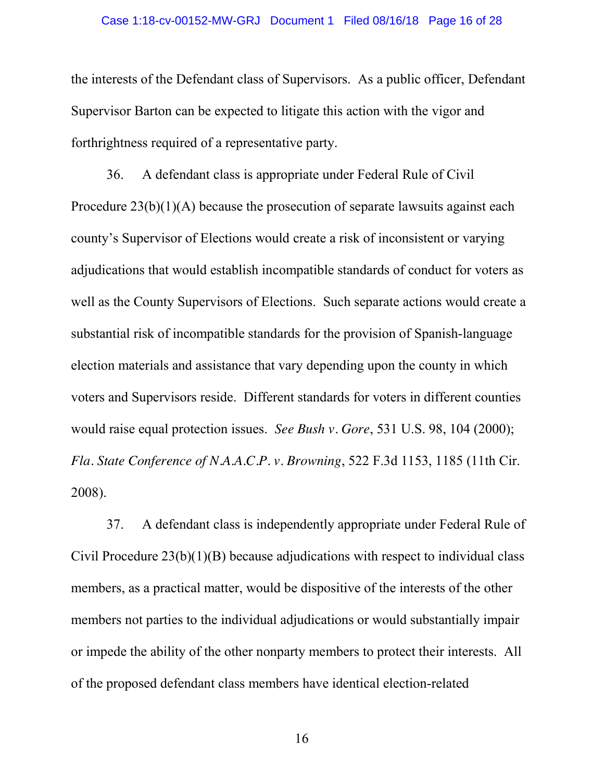#### Case 1:18-cv-00152-MW-GRJ Document 1 Filed 08/16/18 Page 16 of 28

the interests of the Defendant class of Supervisors. As a public officer, Defendant Supervisor Barton can be expected to litigate this action with the vigor and forthrightness required of a representative party.

36. A defendant class is appropriate under Federal Rule of Civil Procedure 23(b)(1)(A) because the prosecution of separate lawsuits against each county's Supervisor of Elections would create a risk of inconsistent or varying adjudications that would establish incompatible standards of conduct for voters as well as the County Supervisors of Elections. Such separate actions would create a substantial risk of incompatible standards for the provision of Spanish-language election materials and assistance that vary depending upon the county in which voters and Supervisors reside. Different standards for voters in different counties would raise equal protection issues. *See Bush v. Gore*, 531 U.S. 98, 104 (2000); *Fla. State Conference of N.A.A.C.P. v. Browning*, 522 F.3d 1153, 1185 (11th Cir. 2008).

37. A defendant class is independently appropriate under Federal Rule of Civil Procedure 23(b)(1)(B) because adjudications with respect to individual class members, as a practical matter, would be dispositive of the interests of the other members not parties to the individual adjudications or would substantially impair or impede the ability of the other nonparty members to protect their interests. All of the proposed defendant class members have identical election-related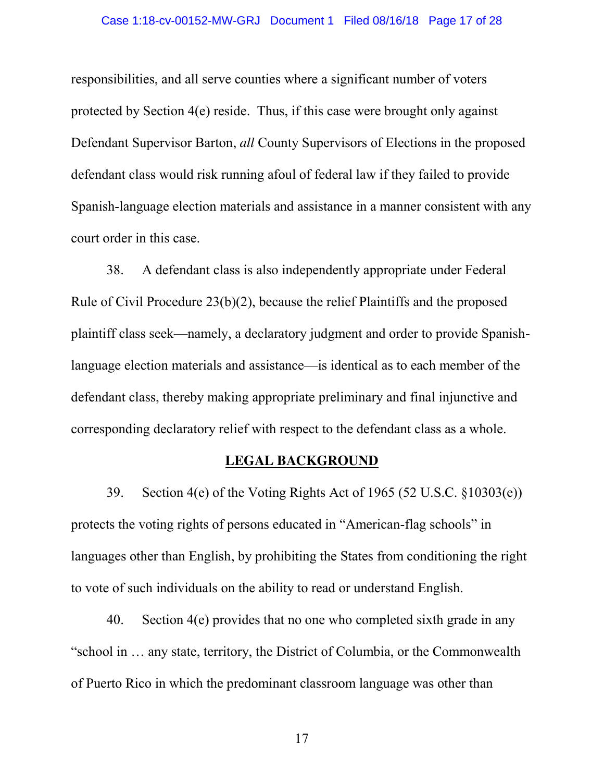### Case 1:18-cv-00152-MW-GRJ Document 1 Filed 08/16/18 Page 17 of 28

responsibilities, and all serve counties where a significant number of voters protected by Section 4(e) reside. Thus, if this case were brought only against Defendant Supervisor Barton, *all* County Supervisors of Elections in the proposed defendant class would risk running afoul of federal law if they failed to provide Spanish-language election materials and assistance in a manner consistent with any court order in this case.

38. A defendant class is also independently appropriate under Federal Rule of Civil Procedure 23(b)(2), because the relief Plaintiffs and the proposed plaintiff class seek—namely, a declaratory judgment and order to provide Spanishlanguage election materials and assistance—is identical as to each member of the defendant class, thereby making appropriate preliminary and final injunctive and corresponding declaratory relief with respect to the defendant class as a whole.

# **LEGAL BACKGROUND**

39. Section 4(e) of the Voting Rights Act of 1965 (52 U.S.C. §10303(e)) protects the voting rights of persons educated in "American-flag schools" in languages other than English, by prohibiting the States from conditioning the right to vote of such individuals on the ability to read or understand English.

40. Section 4(e) provides that no one who completed sixth grade in any "school in … any state, territory, the District of Columbia, or the Commonwealth of Puerto Rico in which the predominant classroom language was other than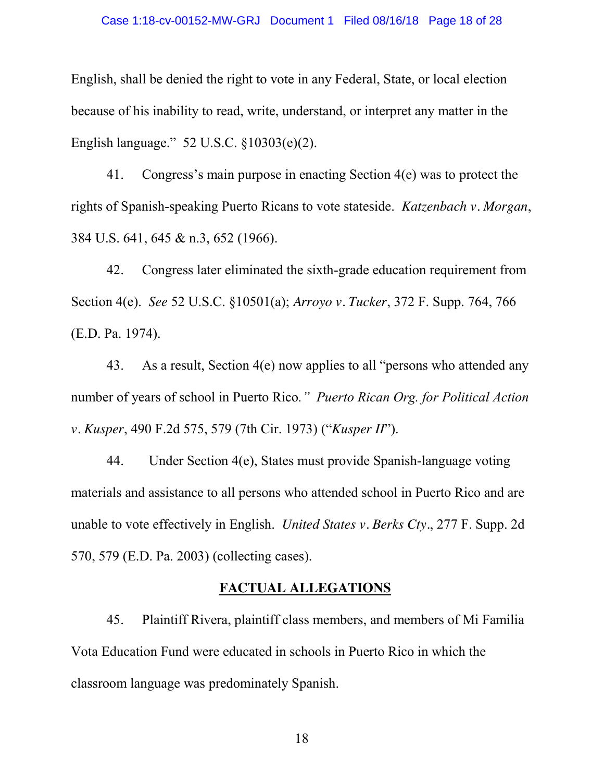#### Case 1:18-cv-00152-MW-GRJ Document 1 Filed 08/16/18 Page 18 of 28

English, shall be denied the right to vote in any Federal, State, or local election because of his inability to read, write, understand, or interpret any matter in the English language." 52 U.S.C. §10303(e)(2).

41. Congress's main purpose in enacting Section 4(e) was to protect the rights of Spanish-speaking Puerto Ricans to vote stateside. *Katzenbach v. Morgan*, 384 U.S. 641, 645 & n.3, 652 (1966).

42. Congress later eliminated the sixth-grade education requirement from Section 4(e). *See* 52 U.S.C. §10501(a); *Arroyo v. Tucker*, 372 F. Supp. 764, 766 (E.D. Pa. 1974).

43. As a result, Section 4(e) now applies to all "persons who attended any number of years of school in Puerto Rico*." Puerto Rican Org. for Political Action v. Kusper*, 490 F.2d 575, 579 (7th Cir. 1973) ("*Kusper II*").

44. Under Section 4(e), States must provide Spanish-language voting materials and assistance to all persons who attended school in Puerto Rico and are unable to vote effectively in English. *United States v. Berks Cty.*, 277 F. Supp. 2d 570, 579 (E.D. Pa. 2003) (collecting cases).

## **FACTUAL ALLEGATIONS**

45. Plaintiff Rivera, plaintiff class members, and members of Mi Familia Vota Education Fund were educated in schools in Puerto Rico in which the classroom language was predominately Spanish.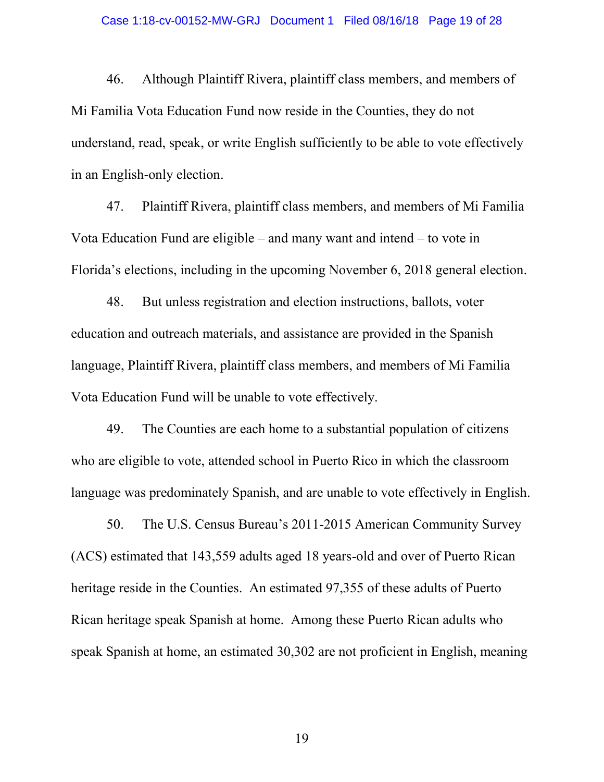#### Case 1:18-cv-00152-MW-GRJ Document 1 Filed 08/16/18 Page 19 of 28

46. Although Plaintiff Rivera, plaintiff class members, and members of Mi Familia Vota Education Fund now reside in the Counties, they do not understand, read, speak, or write English sufficiently to be able to vote effectively in an English-only election.

47. Plaintiff Rivera, plaintiff class members, and members of Mi Familia Vota Education Fund are eligible – and many want and intend – to vote in Florida's elections, including in the upcoming November 6, 2018 general election.

48. But unless registration and election instructions, ballots, voter education and outreach materials, and assistance are provided in the Spanish language, Plaintiff Rivera, plaintiff class members, and members of Mi Familia Vota Education Fund will be unable to vote effectively.

49. The Counties are each home to a substantial population of citizens who are eligible to vote, attended school in Puerto Rico in which the classroom language was predominately Spanish, and are unable to vote effectively in English.

50. The U.S. Census Bureau's 2011-2015 American Community Survey (ACS) estimated that 143,559 adults aged 18 years-old and over of Puerto Rican heritage reside in the Counties. An estimated 97,355 of these adults of Puerto Rican heritage speak Spanish at home. Among these Puerto Rican adults who speak Spanish at home, an estimated 30,302 are not proficient in English, meaning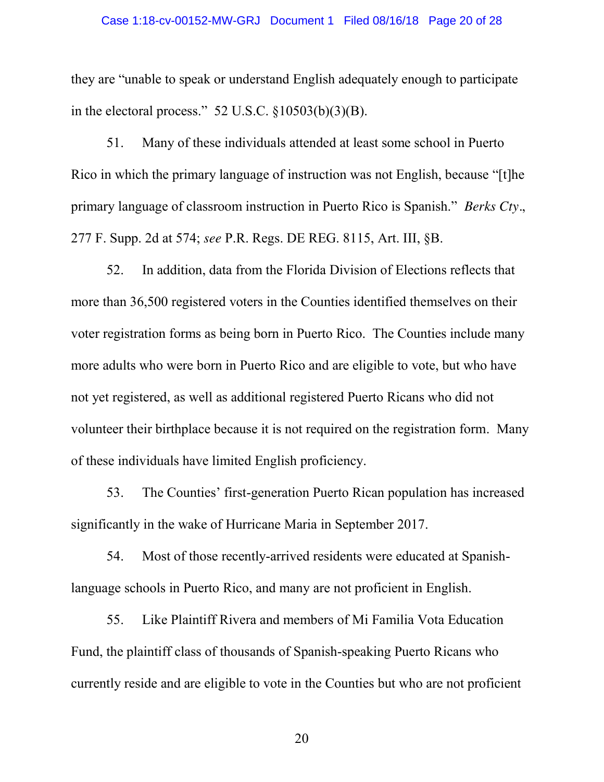#### Case 1:18-cv-00152-MW-GRJ Document 1 Filed 08/16/18 Page 20 of 28

they are "unable to speak or understand English adequately enough to participate in the electoral process."  $52 \text{ U.S.C. } \S 10503(b)(3)(B)$ .

51. Many of these individuals attended at least some school in Puerto Rico in which the primary language of instruction was not English, because "[t]he primary language of classroom instruction in Puerto Rico is Spanish." *Berks Cty.*, 277 F. Supp. 2d at 574; *see* P.R. Regs. DE REG. 8115, Art. III, §B.

52. In addition, data from the Florida Division of Elections reflects that more than 36,500 registered voters in the Counties identified themselves on their voter registration forms as being born in Puerto Rico. The Counties include many more adults who were born in Puerto Rico and are eligible to vote, but who have not yet registered, as well as additional registered Puerto Ricans who did not volunteer their birthplace because it is not required on the registration form. Many of these individuals have limited English proficiency.

53. The Counties' first-generation Puerto Rican population has increased significantly in the wake of Hurricane Maria in September 2017.

54. Most of those recently-arrived residents were educated at Spanishlanguage schools in Puerto Rico, and many are not proficient in English.

55. Like Plaintiff Rivera and members of Mi Familia Vota Education Fund, the plaintiff class of thousands of Spanish-speaking Puerto Ricans who currently reside and are eligible to vote in the Counties but who are not proficient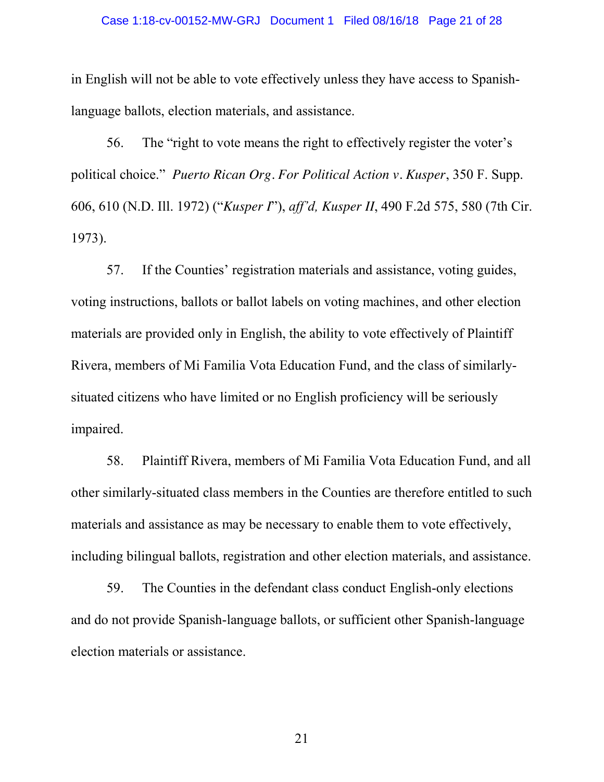#### Case 1:18-cv-00152-MW-GRJ Document 1 Filed 08/16/18 Page 21 of 28

in English will not be able to vote effectively unless they have access to Spanishlanguage ballots, election materials, and assistance.

56. The "right to vote means the right to effectively register the voter's political choice." *Puerto Rican Org. For Political Action v. Kusper*, 350 F. Supp. 606, 610 (N.D. Ill. 1972) ("*Kusper I*"), *aff'd, Kusper II*, 490 F.2d 575, 580 (7th Cir. 1973).

57. If the Counties' registration materials and assistance, voting guides, voting instructions, ballots or ballot labels on voting machines, and other election materials are provided only in English, the ability to vote effectively of Plaintiff Rivera, members of Mi Familia Vota Education Fund, and the class of similarlysituated citizens who have limited or no English proficiency will be seriously impaired.

58. Plaintiff Rivera, members of Mi Familia Vota Education Fund, and all other similarly-situated class members in the Counties are therefore entitled to such materials and assistance as may be necessary to enable them to vote effectively, including bilingual ballots, registration and other election materials, and assistance.

59. The Counties in the defendant class conduct English-only elections and do not provide Spanish-language ballots, or sufficient other Spanish-language election materials or assistance.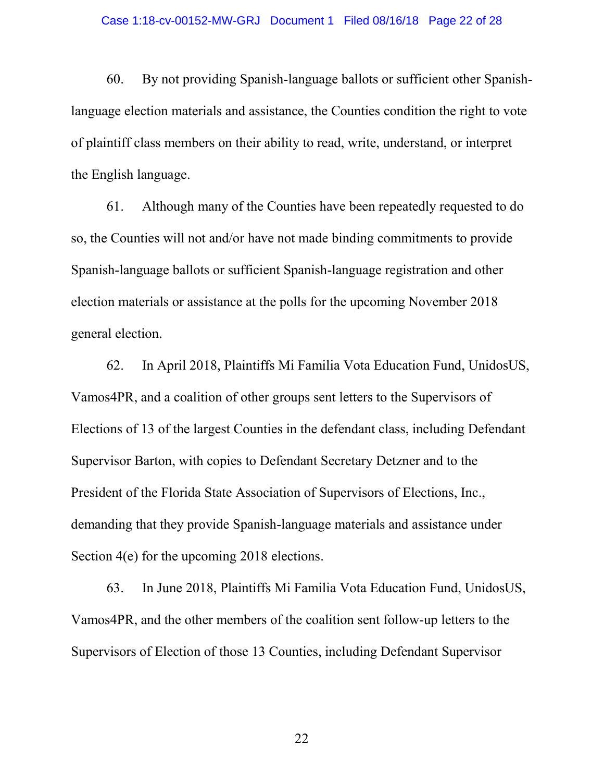#### Case 1:18-cv-00152-MW-GRJ Document 1 Filed 08/16/18 Page 22 of 28

60. By not providing Spanish-language ballots or sufficient other Spanishlanguage election materials and assistance, the Counties condition the right to vote of plaintiff class members on their ability to read, write, understand, or interpret the English language.

61. Although many of the Counties have been repeatedly requested to do so, the Counties will not and/or have not made binding commitments to provide Spanish-language ballots or sufficient Spanish-language registration and other election materials or assistance at the polls for the upcoming November 2018 general election.

62. In April 2018, Plaintiffs Mi Familia Vota Education Fund, UnidosUS, Vamos4PR, and a coalition of other groups sent letters to the Supervisors of Elections of 13 of the largest Counties in the defendant class, including Defendant Supervisor Barton, with copies to Defendant Secretary Detzner and to the President of the Florida State Association of Supervisors of Elections, Inc., demanding that they provide Spanish-language materials and assistance under Section 4(e) for the upcoming 2018 elections.

63. In June 2018, Plaintiffs Mi Familia Vota Education Fund, UnidosUS, Vamos4PR, and the other members of the coalition sent follow-up letters to the Supervisors of Election of those 13 Counties, including Defendant Supervisor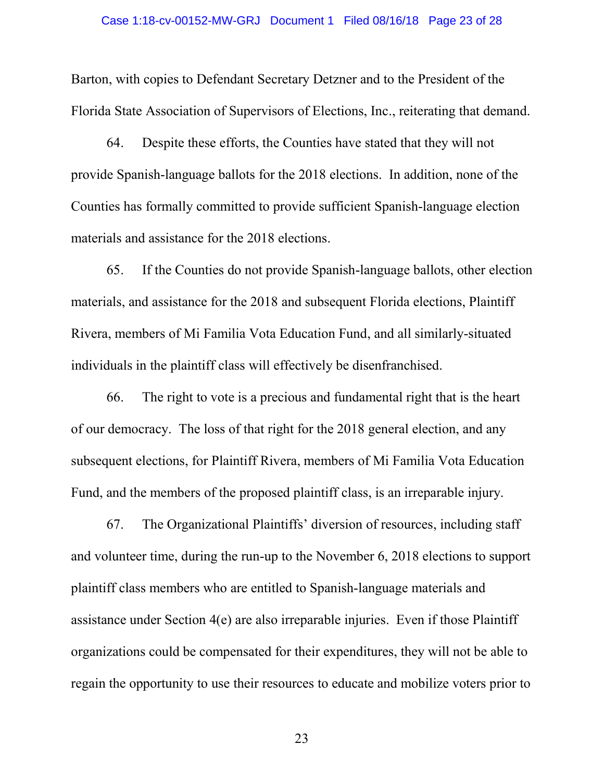#### Case 1:18-cv-00152-MW-GRJ Document 1 Filed 08/16/18 Page 23 of 28

Barton, with copies to Defendant Secretary Detzner and to the President of the Florida State Association of Supervisors of Elections, Inc., reiterating that demand.

64. Despite these efforts, the Counties have stated that they will not provide Spanish-language ballots for the 2018 elections. In addition, none of the Counties has formally committed to provide sufficient Spanish-language election materials and assistance for the 2018 elections.

65. If the Counties do not provide Spanish-language ballots, other election materials, and assistance for the 2018 and subsequent Florida elections, Plaintiff Rivera, members of Mi Familia Vota Education Fund, and all similarly-situated individuals in the plaintiff class will effectively be disenfranchised.

66. The right to vote is a precious and fundamental right that is the heart of our democracy. The loss of that right for the 2018 general election, and any subsequent elections, for Plaintiff Rivera, members of Mi Familia Vota Education Fund, and the members of the proposed plaintiff class, is an irreparable injury.

67. The Organizational Plaintiffs' diversion of resources, including staff and volunteer time, during the run-up to the November 6, 2018 elections to support plaintiff class members who are entitled to Spanish-language materials and assistance under Section 4(e) are also irreparable injuries. Even if those Plaintiff organizations could be compensated for their expenditures, they will not be able to regain the opportunity to use their resources to educate and mobilize voters prior to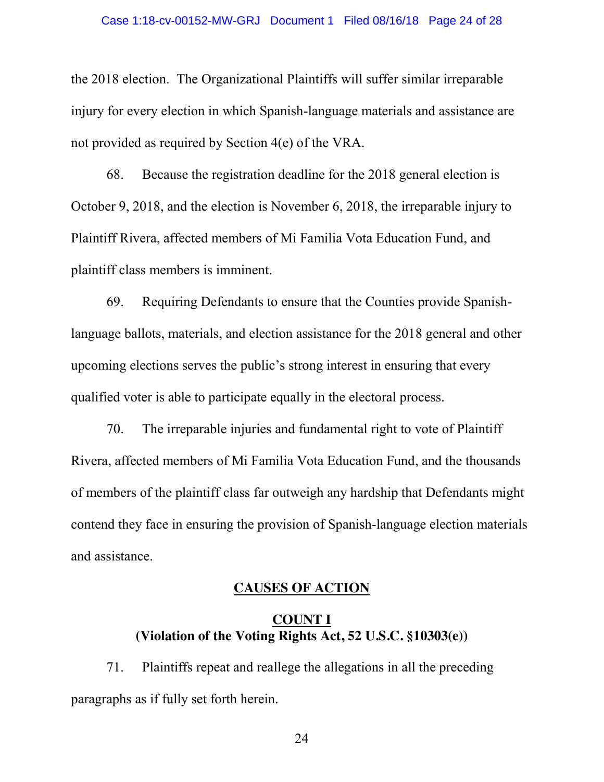the 2018 election. The Organizational Plaintiffs will suffer similar irreparable injury for every election in which Spanish-language materials and assistance are not provided as required by Section 4(e) of the VRA.

68. Because the registration deadline for the 2018 general election is October 9, 2018, and the election is November 6, 2018, the irreparable injury to Plaintiff Rivera, affected members of Mi Familia Vota Education Fund, and plaintiff class members is imminent.

69. Requiring Defendants to ensure that the Counties provide Spanishlanguage ballots, materials, and election assistance for the 2018 general and other upcoming elections serves the public's strong interest in ensuring that every qualified voter is able to participate equally in the electoral process.

70. The irreparable injuries and fundamental right to vote of Plaintiff Rivera, affected members of Mi Familia Vota Education Fund, and the thousands of members of the plaintiff class far outweigh any hardship that Defendants might contend they face in ensuring the provision of Spanish-language election materials and assistance.

# **CAUSES OF ACTION**

# **COUNT I (Violation of the Voting Rights Act, 52 U.S.C. §10303(e))**

71. Plaintiffs repeat and reallege the allegations in all the preceding paragraphs as if fully set forth herein.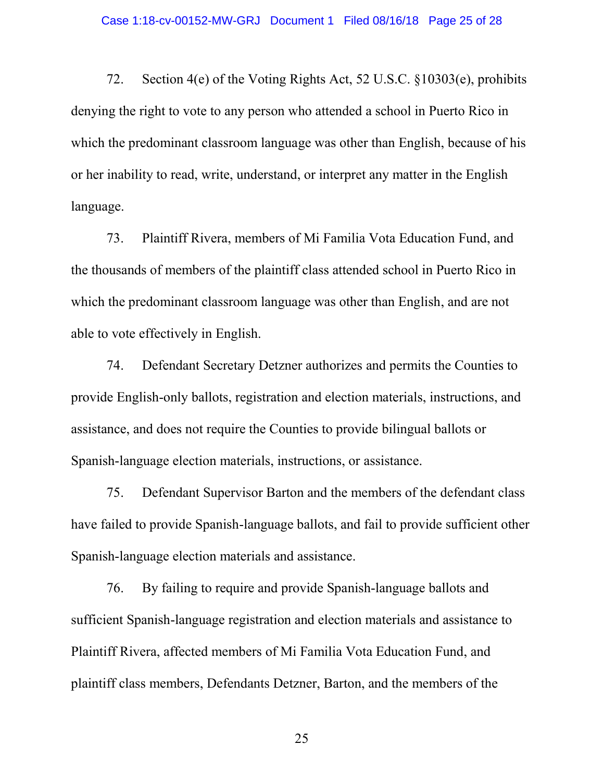72. Section 4(e) of the Voting Rights Act, 52 U.S.C. §10303(e), prohibits denying the right to vote to any person who attended a school in Puerto Rico in which the predominant classroom language was other than English, because of his or her inability to read, write, understand, or interpret any matter in the English language.

73. Plaintiff Rivera, members of Mi Familia Vota Education Fund, and the thousands of members of the plaintiff class attended school in Puerto Rico in which the predominant classroom language was other than English, and are not able to vote effectively in English.

74. Defendant Secretary Detzner authorizes and permits the Counties to provide English-only ballots, registration and election materials, instructions, and assistance, and does not require the Counties to provide bilingual ballots or Spanish-language election materials, instructions, or assistance.

75. Defendant Supervisor Barton and the members of the defendant class have failed to provide Spanish-language ballots, and fail to provide sufficient other Spanish-language election materials and assistance.

76. By failing to require and provide Spanish-language ballots and sufficient Spanish-language registration and election materials and assistance to Plaintiff Rivera, affected members of Mi Familia Vota Education Fund, and plaintiff class members, Defendants Detzner, Barton, and the members of the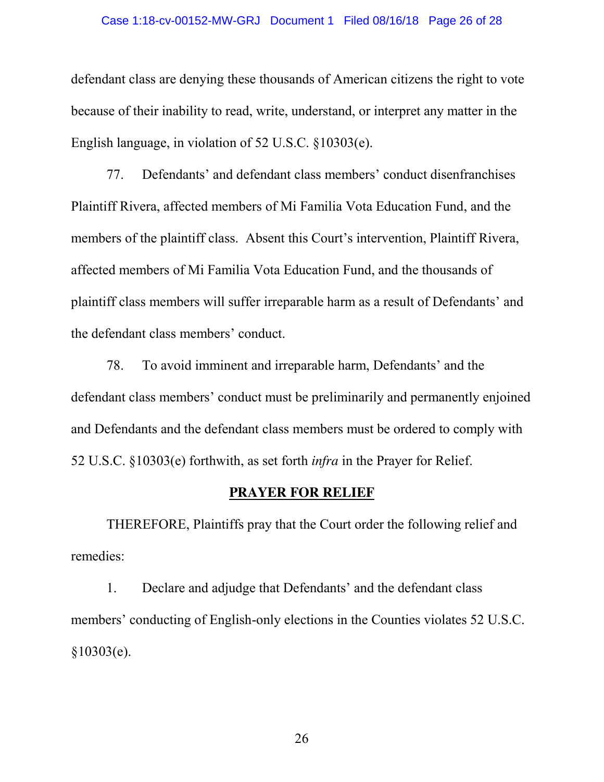#### Case 1:18-cv-00152-MW-GRJ Document 1 Filed 08/16/18 Page 26 of 28

defendant class are denying these thousands of American citizens the right to vote because of their inability to read, write, understand, or interpret any matter in the English language, in violation of 52 U.S.C. §10303(e).

77. Defendants' and defendant class members' conduct disenfranchises Plaintiff Rivera, affected members of Mi Familia Vota Education Fund, and the members of the plaintiff class. Absent this Court's intervention, Plaintiff Rivera, affected members of Mi Familia Vota Education Fund, and the thousands of plaintiff class members will suffer irreparable harm as a result of Defendants' and the defendant class members' conduct.

78. To avoid imminent and irreparable harm, Defendants' and the defendant class members' conduct must be preliminarily and permanently enjoined and Defendants and the defendant class members must be ordered to comply with 52 U.S.C. §10303(e) forthwith, as set forth *infra* in the Prayer for Relief.

# **PRAYER FOR RELIEF**

THEREFORE, Plaintiffs pray that the Court order the following relief and remedies:

1. Declare and adjudge that Defendants' and the defendant class members' conducting of English-only elections in the Counties violates 52 U.S.C. §10303(e).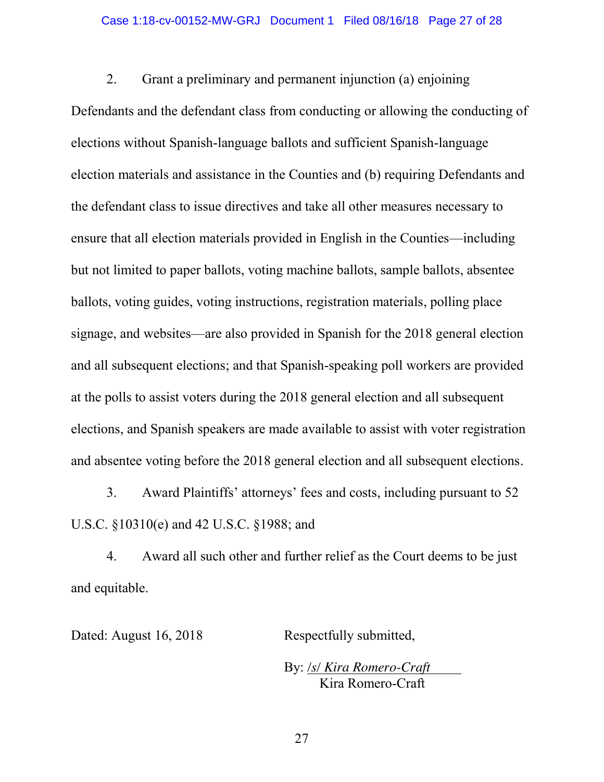## Case 1:18-cv-00152-MW-GRJ Document 1 Filed 08/16/18 Page 27 of 28

2. Grant a preliminary and permanent injunction (a) enjoining Defendants and the defendant class from conducting or allowing the conducting of elections without Spanish-language ballots and sufficient Spanish-language election materials and assistance in the Counties and (b) requiring Defendants and the defendant class to issue directives and take all other measures necessary to ensure that all election materials provided in English in the Counties—including but not limited to paper ballots, voting machine ballots, sample ballots, absentee ballots, voting guides, voting instructions, registration materials, polling place signage, and websites—are also provided in Spanish for the 2018 general election and all subsequent elections; and that Spanish-speaking poll workers are provided at the polls to assist voters during the 2018 general election and all subsequent elections, and Spanish speakers are made available to assist with voter registration and absentee voting before the 2018 general election and all subsequent elections.

3. Award Plaintiffs' attorneys' fees and costs, including pursuant to 52 U.S.C. §10310(e) and 42 U.S.C. §1988; and

4. Award all such other and further relief as the Court deems to be just and equitable.

Dated: August 16, 2018 Respectfully submitted,

By: */s/ Kira Romero-Craft* Kira Romero-Craft